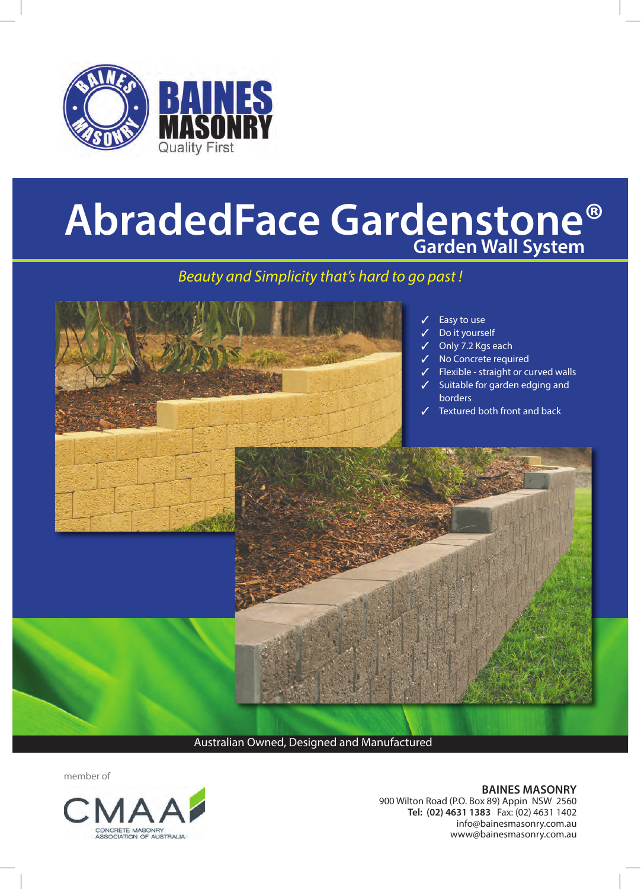

# **AbradedFace Gardenstone® Garden Wall System**

### *Beauty and Simplicity that's hard to go past !*



Australian Owned, Designed and Manufactured

member of



**BAINES MASONRY**  900 Wilton Road (P.O. Box 89) Appin NSW 2560 **Tel: (02) 4631 1383** Fax: (02) 4631 1402 info@bainesmasonry.com.au www@bainesmasonry.com.au